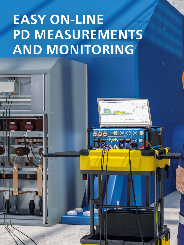# **EASY ON-LINE PD MEASUREMENTS** AND MONITORING

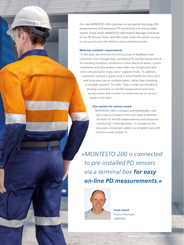Our new MONTESTO 200 combines on-line partial discharge (PD) measurements and temporary PD monitoring into one portable system. Frank Zokoll, MONTESTO 200 Product Manager and Head of our PD Services Team, describes what makes the system so easy to set up and use in the field on various electrical assets.

#### **Meeting customer requirements**

"In the past, we received one critical piece of feedback from customers: Even though they considered PD monitoring beneficial for trending insulation conditions in their electrical assets, system installation and data analysis were often too complicated and time-consuming for many users," explains Frank. "In addition, customers wanted a system that is more flexible for short-term and long-term use on multiple assets, rather than investing in multiple systems," he adds. "That is when we decided to develop a portable on-line PD measurement and monitoring system that is easier to install and use on various assets in the field."

#### **one system for various assets**

"MONTESTO 200 is compact and lightweight, making it easy to transport from one asset to another for both on-line PD measurements and temporary monitoring," Frank describes. "It includes all the necessary connection cables in a wheeled case with a built-in work surface."

*«MONTESTO 200 is connected to pre- installed PD sensors via a terminal box for easy on-line PD measurements.»*



**frank Zokoll** Product Manager, OMICRON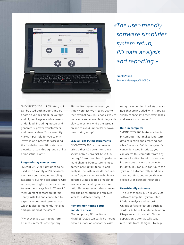

*« The user-friendly software simplifies system setup, PD data analysis and reporting.»*

**frank Zokoll** Product Manager, OMICRON

"MONTESTO 200 is IP65 rated, so it can be used both indoors and outdoors on various medium-voltage and high-voltage electrical assets under load, including motors and generators, power transformers and power cables. This versatility makes it possible for you to only invest in one system for assessing the insulation condition status of electrical assets throughout a utility or industrial plant."

#### **plug-and-play connections**

"MONTESTO 200 is designed to be used with a variety of PD measurement sensors, including coupling capacitors, bushing tap sensors, UHF sensors, and high-frequency current transformers," says Frank. "These PD measurement sensors are permanently installed and connected to a specially-designed terminal box, which is also permanently installed and grounded at the asset."

"Whenever you want to perform PD measurements or temporary

PD monitoring on the asset, you simply connect MONTESTO 200 to the terminal box. This enables you to make safe and convenient plug-andplay connections while the asset is on line to avoid unnecessary downtime during setup."

#### **Easy on-site PD measurements**

"MONTESTO 200 can be powered using either AC power from a wall socket or by a universal 12-volt DC battery," Frank describes. "It performs multi-channel PD measurements to gather more details for a reliable analysis. The system's wide measurement frequency range can be freely adjusted using a laptop or tablet to ensure an optimal signal-to-noise ratio. PD measurement data streams can also be recorded and replayed later for a detailed analysis."

#### **Remote monitoring setup and data access**

"For temporary PD monitoring, MONTESTO 200 can easily be mounted to a surface on or near the asset

using the mounting brackets or magnets that are included with it. You can simply connect it to the terminal box and leave it unattended."

#### **Built-in computer**

"MONTESTO 200 features a builtin computer that makes long-term data collection and archiving possible," he adds. "With the system's convenient web interface, you can access this computer from any remote location to set up monitoring sessions or view the collected PD data. You can also configure the system to automatically send email alarm notifications when PD levels exceed user-defined thresholds."

#### **user-friendly software**

"The user-friendly MONTESTO 200 software simplifies system setup, PD data analysis and reporting. Unique software features, such as 3PARD (3-Phase Amplitude Relation Diagram) and Automatic Cluster Separation, automatically separate noise from PD signals to help